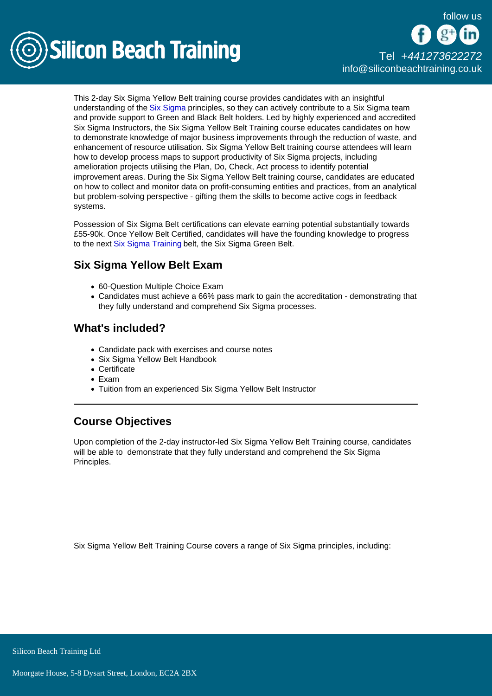

## [Tel +44](tel:+441273622272)1273622272 [info@siliconbeachtraining.co.uk](/var/www/html/siliconbeachtraining.co.uk/public/mailTo:info@siliconbeachtraining.co.uk)

This 2-day Six Sigma Yellow Belt training course provides candidates with an insightful understanding of the [Six Sigma](/six-sigma-training) principles, so they can actively contribute to a Six Sigma team and provide support to Green and Black Belt holders. Led by highly experienced and accredited Six Sigma Instructors, the Six Sigma Yellow Belt Training course educates candidates on how to demonstrate knowledge of major business improvements through the reduction of waste, and enhancement of resource utilisation. Six Sigma Yellow Belt training course attendees will learn how to develop process maps to support productivity of Six Sigma projects, including amelioration projects utilising the Plan, Do, Check, Act process to identify potential improvement areas. During the Six Sigma Yellow Belt training course, candidates are educated on how to collect and monitor data on profit-consuming entities and practices, from an analytical but problem-solving perspective - gifting them the skills to become active cogs in feedback systems.

Possession of Six Sigma Belt certifications can elevate earning potential substantially towards £55-90k. Once Yellow Belt Certified, candidates will have the founding knowledge to progress to the next [Six Sigma Training](/six-sigma-training) belt, the Six Sigma Green Belt.

## Six Sigma Yellow Belt Exam

- 60-Question Multiple Choice Exam
- Candidates must achieve a 66% pass mark to gain the accreditation demonstrating that they fully understand and comprehend Six Sigma processes.

## What's included?

- Candidate pack with exercises and course notes
- Six Sigma Yellow Belt Handbook
- Certificate
- $\bullet$  Fxam
- Tuition from an experienced Six Sigma Yellow Belt Instructor

## Course Objectives

Upon completion of the 2-day instructor-led Six Sigma Yellow Belt Training course, candidates will be able to demonstrate that they fully understand and comprehend the Six Sigma Principles.

Six Sigma Yellow Belt Training Course covers a range of Six Sigma principles, including: